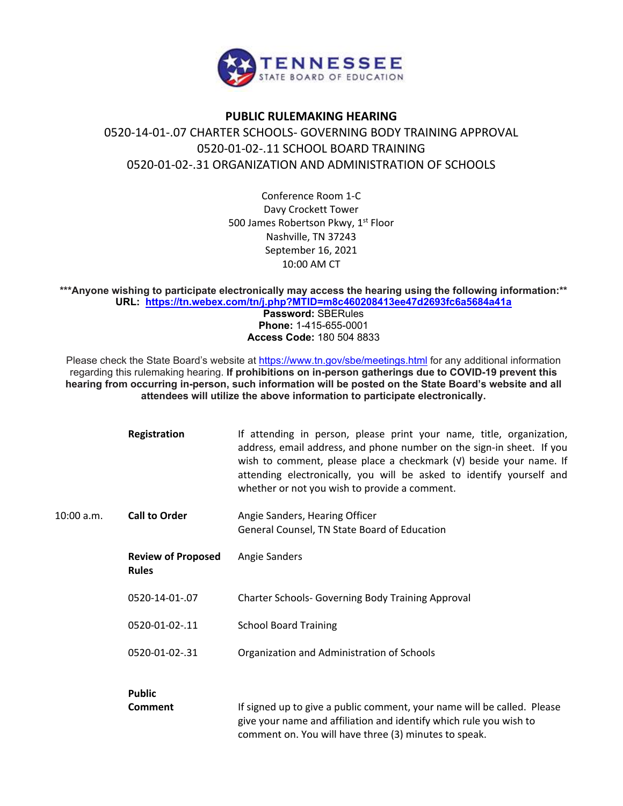

## **PUBLIC RULEMAKING HEARING** 0520-14-01-.07 CHARTER SCHOOLS- GOVERNING BODY TRAINING APPROVAL 0520-01-02-.11 SCHOOL BOARD TRAINING 0520-01-02-.31 ORGANIZATION AND ADMINISTRATION OF SCHOOLS

Conference Room 1-C Davy Crockett Tower 500 James Robertson Pkwy, 1<sup>st</sup> Floor Nashville, TN 37243 September 16, 2021 10:00 AM CT

**\*\*\*Anyone wishing to participate electronically may access the hearing using the following information:\*\* URL: <https://tn.webex.com/tn/j.php?MTID=m8c460208413ee47d2693fc6a5684a41a>**

**Password:** SBERules **Phone:** 1-415-655-0001 **Access Code:** 180 504 8833

Please check the State Board's website at<https://www.tn.gov/sbe/meetings.html> for any additional information regarding this rulemaking hearing. **If prohibitions on in-person gatherings due to COVID-19 prevent this hearing from occurring in-person, such information will be posted on the State Board's website and all attendees will utilize the above information to participate electronically.**

|            | Registration                              | If attending in person, please print your name, title, organization,<br>address, email address, and phone number on the sign-in sheet. If you<br>wish to comment, please place a checkmark (v) beside your name. If<br>attending electronically, you will be asked to identify yourself and<br>whether or not you wish to provide a comment. |
|------------|-------------------------------------------|----------------------------------------------------------------------------------------------------------------------------------------------------------------------------------------------------------------------------------------------------------------------------------------------------------------------------------------------|
| 10:00 a.m. | <b>Call to Order</b>                      | Angie Sanders, Hearing Officer<br>General Counsel, TN State Board of Education                                                                                                                                                                                                                                                               |
|            | <b>Review of Proposed</b><br><b>Rules</b> | Angie Sanders                                                                                                                                                                                                                                                                                                                                |
|            | 0520-14-01-.07                            | <b>Charter Schools- Governing Body Training Approval</b>                                                                                                                                                                                                                                                                                     |
|            | 0520-01-02-.11                            | <b>School Board Training</b>                                                                                                                                                                                                                                                                                                                 |
|            | 0520-01-02-.31                            | Organization and Administration of Schools                                                                                                                                                                                                                                                                                                   |
|            | <b>Public</b><br>Comment                  | If signed up to give a public comment, your name will be called. Please<br>give your name and affiliation and identify which rule you wish to<br>comment on. You will have three (3) minutes to speak.                                                                                                                                       |